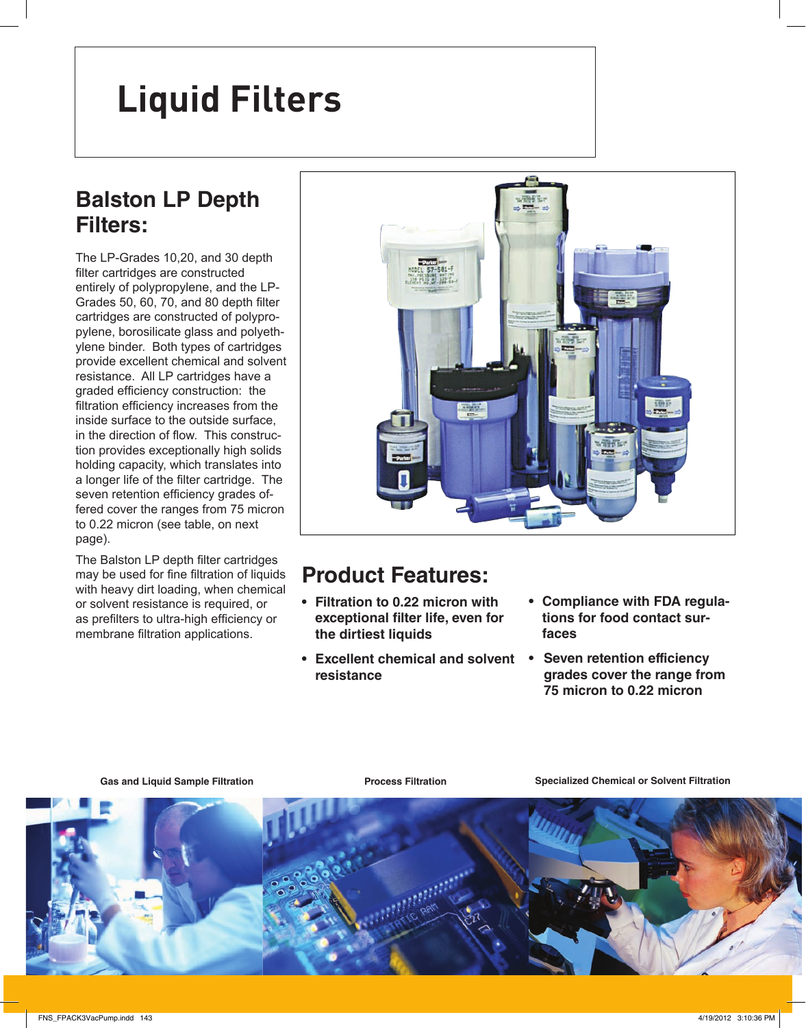# **Vacuum Pump Inlet & Exhaust Filters Liquid Filters**

## **Balston LP Depth Filters:**

The LP-Grades 10,20, and 30 depth filter cartridges are constructed entirely of polypropylene, and the LP-Grades 50, 60, 70, and 80 depth filter cartridges are constructed of polypropylene, borosilicate glass and polyethylene binder. Both types of cartridges provide excellent chemical and solvent resistance. All LP cartridges have a graded efficiency construction: the filtration efficiency increases from the inside surface to the outside surface, in the direction of flow. This construction provides exceptionally high solids holding capacity, which translates into a longer life of the filter cartridge. The seven retention efficiency grades offered cover the ranges from 75 micron to 0.22 micron (see table, on next page).

The Balston LP depth filter cartridges may be used for fine filtration of liquids with heavy dirt loading, when chemical or solvent resistance is required, or as prefilters to ultra-high efficiency or membrane filtration applications.



## **Product Features:**

- **Filtration to 0.22 micron with exceptional !lter life, even for the dirtiest liquids**
- **Excellent chemical and solvent resistance**
- **Compliance with FDA regulations for food contact surfaces**
- **Seven retention efficiency grades cover the range from**  $\overline{75}$  micron to 0.22 micron

Gas and Liquid Sample Filtration *Process Filtration* **Specialized Chemical or Solvent Filtration** 

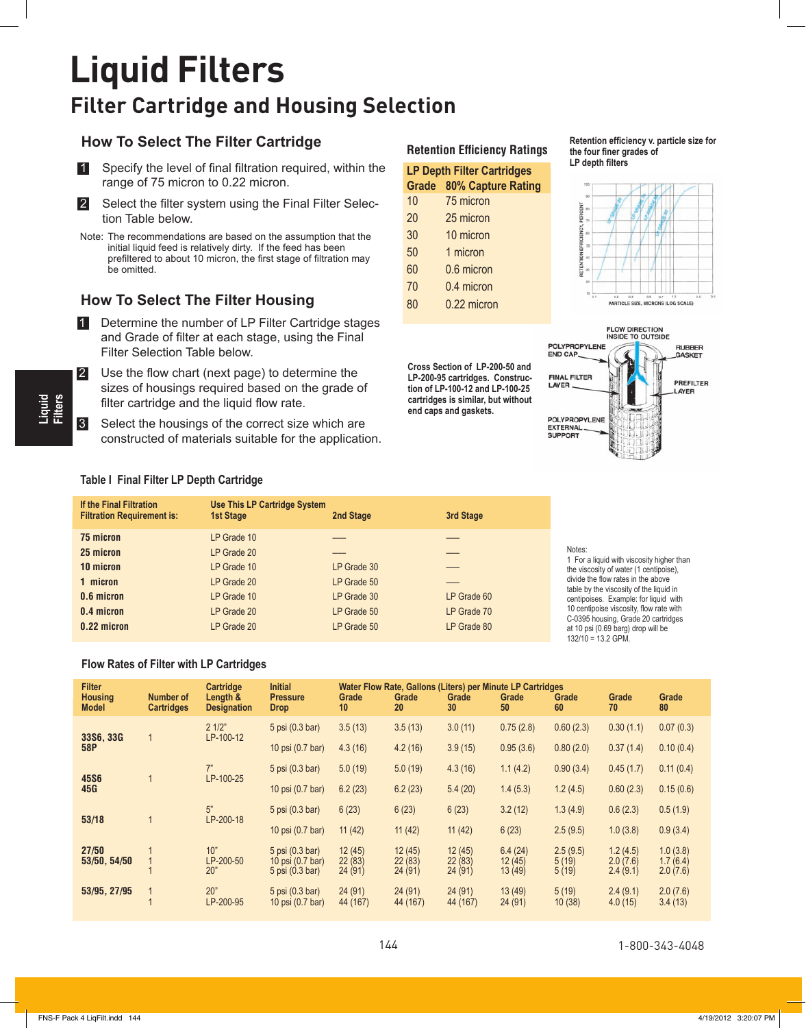## **Liquid Filters Filter Cartridge and Housing Selection**

### **How To Select The Filter Cartridge**



**2** Select the filter system using the Final Filter Selection Table below.

Note: The recommendations are based on the assumption that the initial liquid feed is relatively dirty. If the feed has been prefiltered to about 10 micron, the first stage of filtration may be omitted.

### **How To Select The Filter Housing**

- 1 Determine the number of LP Filter Cartridge stages and Grade of filter at each stage, using the Final Filter Selection Table below.
- $\blacksquare$  Use the flow chart (next page) to determine the sizes of housings required based on the grade of filter cartridge and the liquid flow rate.
- **8** Select the housings of the correct size which are constructed of materials suitable for the application.

#### **Retention Efficiency Ratings**

| <b>LP Depth Filter Cartridges</b> |                           |  |  |  |  |  |
|-----------------------------------|---------------------------|--|--|--|--|--|
| Grade                             | <b>80% Capture Rating</b> |  |  |  |  |  |
| 10                                | 75 micron                 |  |  |  |  |  |
| 20                                | 25 micron                 |  |  |  |  |  |
| 30                                | 10 micron                 |  |  |  |  |  |
| 50                                | 1 micron                  |  |  |  |  |  |
| 60                                | 0.6 micron                |  |  |  |  |  |
| 70                                | 0.4 micron                |  |  |  |  |  |
| 80                                | 0.22 micron               |  |  |  |  |  |
|                                   |                           |  |  |  |  |  |

**Cross Section of LP-200-50 and LP-200-95 cartridges. Construction of LP-100-12 and LP-100-25 cartridges is similar, but without end caps and gaskets.**

Retention efficiency v. particle size for the four finer grades of





#### **Table I Final Filter LP Depth Cartridge**

| If the Final Filtration<br><b>Filtration Requirement is:</b> | <b>Use This LP Cartridge System</b><br>1st Stage | 2nd Stage   | 3rd Stage   |                         |
|--------------------------------------------------------------|--------------------------------------------------|-------------|-------------|-------------------------|
| 75 micron                                                    | LP Grade 10                                      |             |             |                         |
| 25 micron                                                    | LP Grade 20                                      |             |             | No<br>1 F               |
| 10 micron                                                    | LP Grade 10                                      | LP Grade 30 |             | the                     |
| 1 micron                                                     | LP Grade 20                                      | LP Grade 50 |             | divi<br>tab             |
| 0.6 micron                                                   | LP Grade 10                                      | LP Grade 30 | LP Grade 60 | cer                     |
| 0.4 micron                                                   | LP Grade 20                                      | LP Grade 50 | LP Grade 70 | 10<br>$C-$              |
| 0.22 micron                                                  | LP Grade 20                                      | LP Grade 50 | LP Grade 80 | at 1<br>40 <sup>0</sup> |

#### tes:

For a liquid with viscosity higher than viscosity of water (1 centipoise), ide the flow rates in the above le by the viscosity of the liquid in tipoises. Example: for liquid with centipoise viscosity, flow rate with 0395 housing, Grade 20 cartridges 10 psi (0.69 barg) drop will be 132/10 = 13.2 GPM.

#### **Flow Rates of Filter with LP Cartridges**

| <b>Filter</b><br><b>Housing</b><br><b>Model</b> | <b>Number of</b><br><b>Cartridges</b> | Cartridge<br>Length &<br><b>Designation</b> | <b>Initial</b><br><b>Pressure</b><br><b>Drop</b>       | Grade<br>10                | Grade<br>20                | Grade<br>30                | Water Flow Rate, Gallons (Liters) per Minute LP Cartridges<br>Grade<br>50 | Grade<br>60                | Grade<br>70                      | Grade<br>80                      |
|-------------------------------------------------|---------------------------------------|---------------------------------------------|--------------------------------------------------------|----------------------------|----------------------------|----------------------------|---------------------------------------------------------------------------|----------------------------|----------------------------------|----------------------------------|
| 33S6, 33G                                       |                                       | 21/2"<br>LP-100-12                          | 5 psi (0.3 bar)                                        | 3.5(13)                    | 3.5(13)                    | 3.0(11)                    | 0.75(2.8)                                                                 | 0.60(2.3)                  | 0.30(1.1)                        | 0.07(0.3)                        |
| 58P                                             |                                       |                                             | 10 psi (0.7 bar)                                       | 4.3(16)                    | 4.2(16)                    | 3.9(15)                    | 0.95(3.6)                                                                 | 0.80(2.0)                  | 0.37(1.4)                        | 0.10(0.4)                        |
| <b>45S6</b>                                     |                                       | 7"<br>LP-100-25                             | 5 psi (0.3 bar)                                        | 5.0(19)                    | 5.0(19)                    | 4.3(16)                    | 1.1(4.2)                                                                  | 0.90(3.4)                  | 0.45(1.7)                        | 0.11(0.4)                        |
| 45G                                             |                                       | 10 psi (0.7 bar)                            | 6.2(23)                                                | 6.2(23)                    | 5.4(20)                    | 1.4(5.3)                   | 1.2(4.5)                                                                  | 0.60(2.3)                  | 0.15(0.6)                        |                                  |
| 53/18                                           |                                       | 5"<br>LP-200-18                             | 5 psi (0.3 bar)                                        | 6(23)                      | 6(23)                      | 6(23)                      | 3.2(12)                                                                   | 1.3(4.9)                   | 0.6(2.3)                         | 0.5(1.9)                         |
|                                                 |                                       |                                             | 10 psi (0.7 bar)                                       | 11(42)                     | 11(42)                     | 11(42)                     | 6(23)                                                                     | 2.5(9.5)                   | 1.0(3.8)                         | 0.9(3.4)                         |
| 27/50<br>53/50, 54/50                           |                                       | 10"<br>LP-200-50<br>20"                     | 5 psi (0.3 bar)<br>10 psi (0.7 bar)<br>5 psi (0.3 bar) | 12(45)<br>22(83)<br>24(91) | 12(45)<br>22(83)<br>24(91) | 12(45)<br>22(83)<br>24(91) | 6.4(24)<br>12(45)<br>13 (49)                                              | 2.5(9.5)<br>5(19)<br>5(19) | 1.2(4.5)<br>2.0(7.6)<br>2.4(9.1) | 1.0(3.8)<br>1.7(6.4)<br>2.0(7.6) |
| 53/95, 27/95                                    | $\mathbf 1$                           | 20"<br>LP-200-95                            | 5 psi (0.3 bar)<br>10 psi (0.7 bar)                    | 24(91)<br>44 (167)         | 24(91)<br>44 (167)         | 24(91)<br>44 (167)         | 13(49)<br>24(91)                                                          | 5(19)<br>10(38)            | 2.4(9.1)<br>4.0(15)              | 2.0(7.6)<br>3.4(13)              |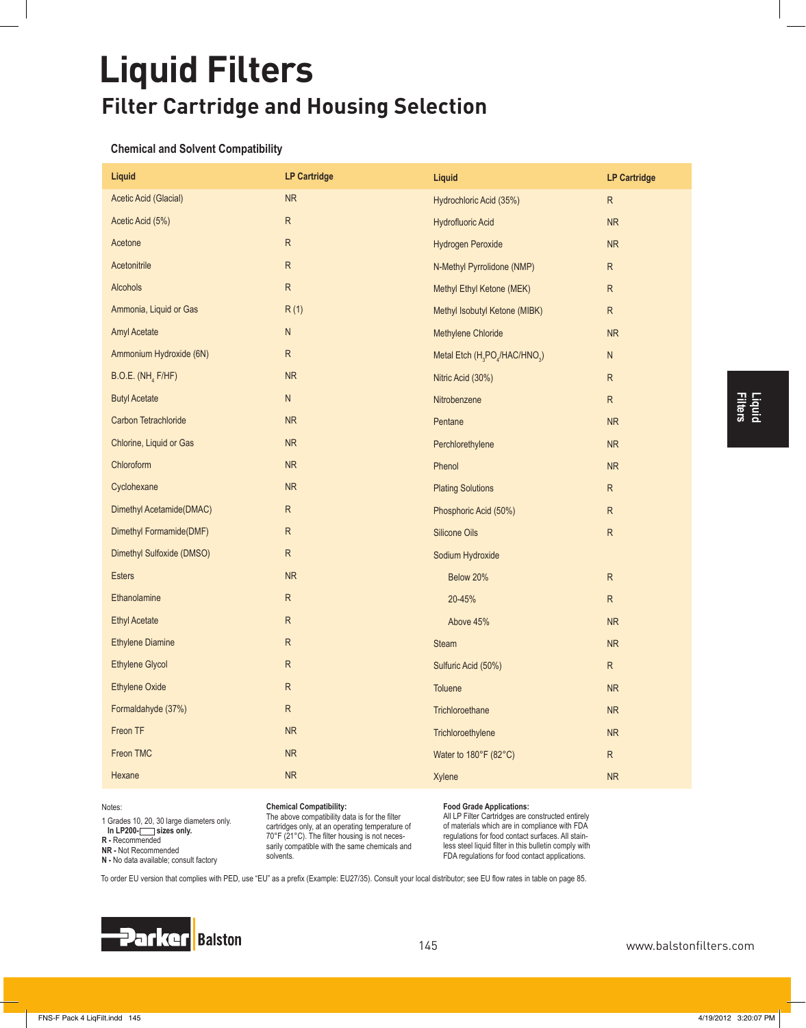# **Liquid Filters Filter Cartridge and Housing Selection**

#### **Chemical and Solvent Compatibility**

| Liquid                        | <b>LP Cartridge</b> | Liquid                                                             | <b>LP Cartridge</b> |
|-------------------------------|---------------------|--------------------------------------------------------------------|---------------------|
| Acetic Acid (Glacial)         | <b>NR</b>           | Hydrochloric Acid (35%)                                            | R.                  |
| Acetic Acid (5%)              | ${\sf R}$           | <b>Hydrofluoric Acid</b>                                           | <b>NR</b>           |
| Acetone                       | R                   | Hydrogen Peroxide                                                  | <b>NR</b>           |
| Acetonitrile                  | $\mathsf{R}$        | N-Methyl Pyrrolidone (NMP)                                         | R                   |
| <b>Alcohols</b>               | ${\sf R}$           | Methyl Ethyl Ketone (MEK)                                          | R                   |
| Ammonia, Liquid or Gas        | R(1)                | Methyl Isobutyl Ketone (MIBK)                                      | R.                  |
| <b>Amyl Acetate</b>           | N                   | Methylene Chloride                                                 | <b>NR</b>           |
| Ammonium Hydroxide (6N)       | R                   | Metal Etch (H <sub>3</sub> PO <sub>4</sub> /HAC/HNO <sub>3</sub> ) | N                   |
| B.O.E. (NH <sub>4</sub> F/HF) | NR                  | Nitric Acid (30%)                                                  | R                   |
| <b>Butyl Acetate</b>          | ${\sf N}$           | Nitrobenzene                                                       | ${\sf R}$           |
| Carbon Tetrachloride          | NR                  | Pentane                                                            | ${\sf NR}$          |
| Chlorine, Liquid or Gas       | <b>NR</b>           | Perchlorethylene                                                   | <b>NR</b>           |
| Chloroform                    | <b>NR</b>           | Phenol                                                             | <b>NR</b>           |
| Cyclohexane                   | NR                  | <b>Plating Solutions</b>                                           | ${\sf R}$           |
| Dimethyl Acetamide(DMAC)      | R                   | Phosphoric Acid (50%)                                              | R                   |
| Dimethyl Formamide(DMF)       | R.                  | <b>Silicone Oils</b>                                               | R                   |
| Dimethyl Sulfoxide (DMSO)     | R                   | Sodium Hydroxide                                                   |                     |
| <b>Esters</b>                 | NR                  | Below 20%                                                          | R                   |
| Ethanolamine                  | ${\sf R}$           | 20-45%                                                             | ${\sf R}$           |
| <b>Ethyl Acetate</b>          | ${\sf R}$           | Above 45%                                                          | <b>NR</b>           |
| <b>Ethylene Diamine</b>       | R                   | <b>Steam</b>                                                       | <b>NR</b>           |
| <b>Ethylene Glycol</b>        | R                   | Sulfuric Acid (50%)                                                | R.                  |
| <b>Ethylene Oxide</b>         | ${\sf R}$           | Toluene                                                            | <b>NR</b>           |
| Formaldahyde (37%)            | R                   | Trichloroethane                                                    | NR                  |
| Freon TF                      | <b>NR</b>           | Trichloroethylene                                                  | <b>NR</b>           |
| Freon TMC                     | <b>NR</b>           | Water to 180°F (82°C)                                              | R.                  |
| Hexane                        | ${\sf NR}$          | Xylene                                                             | <b>NR</b>           |
|                               |                     |                                                                    |                     |

1 Grades 10, 20, 30 large diameters only. In LP200-**Sizes** only. **R -** Recommended **NR -** Not Recommended **N** - No data available; consult factory

#### Chemical Compatibility:

The above compatibility data is for the filter cartridges only, at an operating temperature of  $70^\circ$ F (21 $^\circ$ C). The filter housing is not necessarily compatible with the same chemicals and solvents.

#### **Food Grade Applications:**

All LP Filter Cartridges are constructed entirely of materials which are in compliance with FDA regulations for food contact surfaces. All stain-**OF VEHICLE CONDUCTS CONDUCTS** IN STRING CONDUCTS IN STRING FDA regulations for food contact applications.

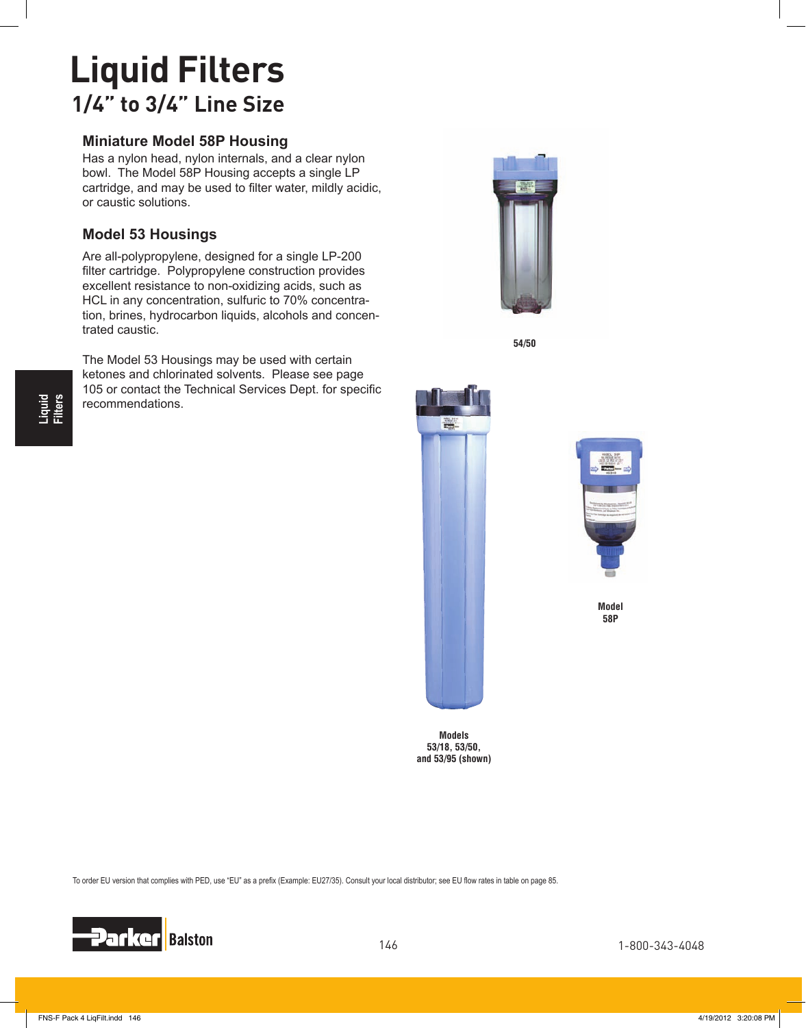## **Liquid Filters 1/4" to 3/4" Line Size**

### **Miniature Model 58P Housing**

Has a nylon head, nylon internals, and a clear nylon bowl. The Model 58P Housing accepts a single LP cartridge, and may be used to filter water, mildly acidic, or caustic solutions.

### **Model 53 Housings**

Are all-polypropylene, designed for a single LP-200 filter cartridge. Polypropylene construction provides excellent resistance to non-oxidizing acids, such as HCL in any concentration, sulfuric to 70% concentration, brines, hydrocarbon liquids, alcohols and concentrated caustic.

The Model 53 Housings may be used with certain ketones and chlorinated solvents. Please see page 105 or contact the Technical Services Dept. for specific recommendations.



**54/50**





**Model 58P**

**Models 53/18, 53/50, and 53/95 (shown)**

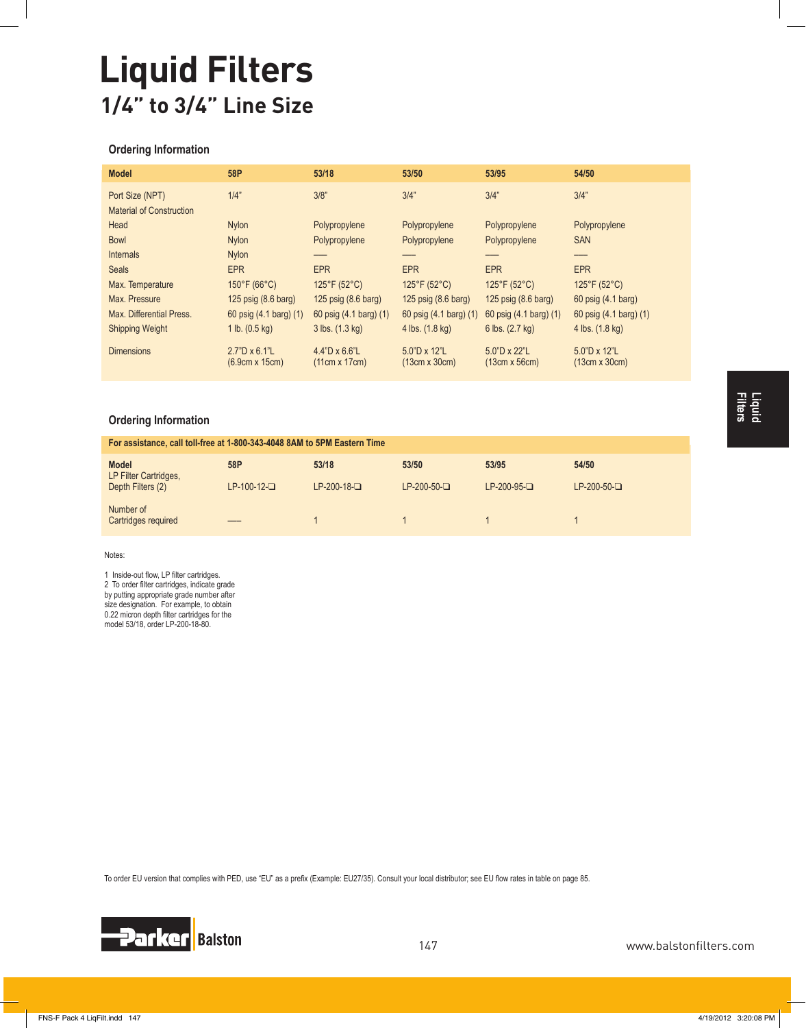# **Liquid Filters 1/4" to 3/4" Line Size**

#### **Ordering Information**

| <b>Model</b>                    | 58P                                           | 53/18                                 | 53/50                                | 53/95                         | 54/50                         |
|---------------------------------|-----------------------------------------------|---------------------------------------|--------------------------------------|-------------------------------|-------------------------------|
| Port Size (NPT)                 | 1/4"                                          | 3/8"                                  | 3/4"                                 | 3/4"                          | 3/4"                          |
| <b>Material of Construction</b> |                                               |                                       |                                      |                               |                               |
| Head                            | <b>Nylon</b>                                  | Polypropylene                         | Polypropylene                        | Polypropylene                 | Polypropylene                 |
| <b>Bowl</b>                     | <b>Nylon</b>                                  | Polypropylene                         | Polypropylene                        | Polypropylene                 | <b>SAN</b>                    |
| Internals                       | <b>Nylon</b>                                  |                                       |                                      |                               |                               |
| <b>Seals</b>                    | <b>EPR</b>                                    | <b>EPR</b>                            | <b>EPR</b>                           | <b>EPR</b>                    | <b>EPR</b>                    |
| Max. Temperature                | $150^{\circ}$ F (66 $^{\circ}$ C)             | $125^{\circ}F(52^{\circ}C)$           | $125^{\circ}F(52^{\circ}C)$          | $125^{\circ}F(52^{\circ}C)$   | $125^{\circ}F(52^{\circ}C)$   |
| Max. Pressure                   | 125 psig (8.6 barg)                           | 125 $psig(8.6$ barg)                  | 125 psig (8.6 barg)                  | 125 $psig(8.6$ barg)          | 60 psig (4.1 barg)            |
| Max. Differential Press.        | 60 psig (4.1 barg) (1)                        | 60 psig (4.1 barg) (1)                | 60 psig (4.1 barg) (1)               | 60 psig (4.1 barg) (1)        | 60 psig (4.1 barg) (1)        |
| <b>Shipping Weight</b>          | 1 lb. $(0.5 \text{ kg})$                      | 3 lbs. (1.3 kg)                       | 4 lbs. (1.8 kg)                      | 6 lbs. (2.7 kg)               | 4 lbs. (1.8 kg)               |
| <b>Dimensions</b>               | $2.7"D \times 6.1"L$<br>$(6.9cm \times 15cm)$ | $4.4"D \times 6.6"L$<br>(11cm x 17cm) | $5.0"D \times 12"L$<br>(13cm x 30cm) | 5.0"D x 22"L<br>(13cm x 56cm) | 5.0"D x 12"L<br>(13cm x 30cm) |

#### **Ordering Information**

| For assistance, call toll-free at 1-800-343-4048 8AM to 5PM Eastern Time |               |               |              |               |              |  |  |  |
|--------------------------------------------------------------------------|---------------|---------------|--------------|---------------|--------------|--|--|--|
| <b>Model</b><br>LP Filter Cartridges,                                    | 58P           | 53/18         | 53/50        | 53/95         | 54/50        |  |  |  |
| Depth Filters (2)                                                        | $LP-100-12-D$ | $LP-200-18-D$ | $LP-200-50-$ | $LP-200-95-D$ | $LP-200-50-$ |  |  |  |
| Number of<br>Cartridges required                                         |               |               |              |               |              |  |  |  |

Notes:

1 Inside-out flow, LP filter cartridges. 2 To order filter cartridges, indicate grade by putting appropriate grade number after size designation. For example, to obtain

0.22 micron depth filter cartridges for the model 53/18, order LP-200-18-80.

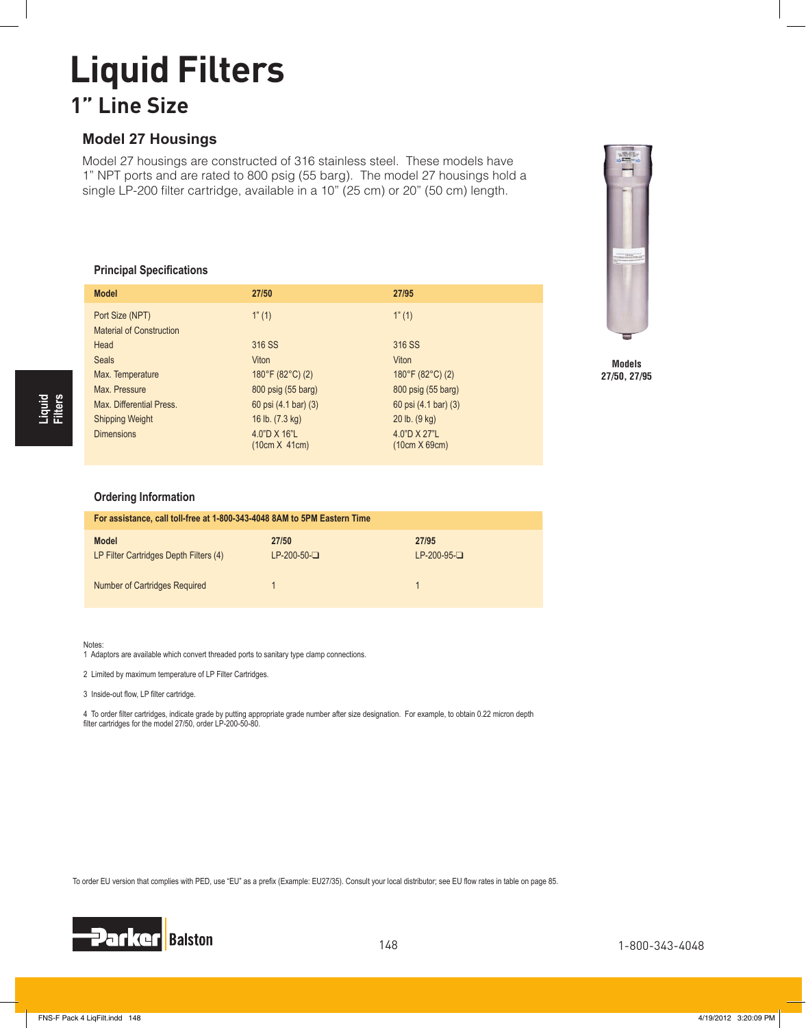## **Liquid Filters 1" Line Size**

### **Model 27 Housings**

Model 27 housings are constructed of 316 stainless steel. These models have 1" NPT ports and are rated to 800 psig (55 barg). The model 27 housings hold a single LP-200 filter cartridge, available in a 10" (25 cm) or 20" (50 cm) length.

#### **Principal Specifications**

| <b>Model</b>                                       | 27/50                                 | 27/95                         |
|----------------------------------------------------|---------------------------------------|-------------------------------|
| Port Size (NPT)<br><b>Material of Construction</b> | 1"(1)                                 | 1"(1)                         |
| Head                                               | 316 SS                                | 316 SS                        |
| <b>Seals</b>                                       | <b>Viton</b>                          | Viton                         |
| Max. Temperature                                   | $180^{\circ}$ F (82 $^{\circ}$ C) (2) | 180°F (82°C) (2)              |
| Max. Pressure                                      | 800 psig (55 barg)                    | 800 psig (55 barg)            |
| Max. Differential Press.                           | 60 psi (4.1 bar) (3)                  | 60 psi (4.1 bar) (3)          |
| <b>Shipping Weight</b>                             | 16 lb. (7.3 kg)                       | $20$ lb. $(9$ kg)             |
| <b>Dimensions</b>                                  | 4.0"D X 16"L<br>(10cm X 41cm)         | 4.0"D X 27"L<br>(10cm X 69cm) |



**Models 27/50, 27/95**

#### **Ordering Information**

| For assistance, call toll-free at 1-800-343-4048 8AM to 5PM Eastern Time |                       |                        |  |  |  |  |
|--------------------------------------------------------------------------|-----------------------|------------------------|--|--|--|--|
| <b>Model</b><br>LP Filter Cartridges Depth Filters (4)                   | 27/50<br>$LP-200-50-$ | 27/95<br>$LP-200-95-D$ |  |  |  |  |
| Number of Cartridges Required                                            |                       |                        |  |  |  |  |

Notes:

1 Adaptors are available which convert threaded ports to sanitary type clamp connections.

2 Limited by maximum temperature of LP Filter Cartridges.

3 Inside-out flow, LP filter cartridge.

4 To order filter cartridges, indicate grade by putting appropriate grade number after size designation. For example, to obtain 0.22 micron depth filter cartridges for the model 27/50, order LP-200-50-80.

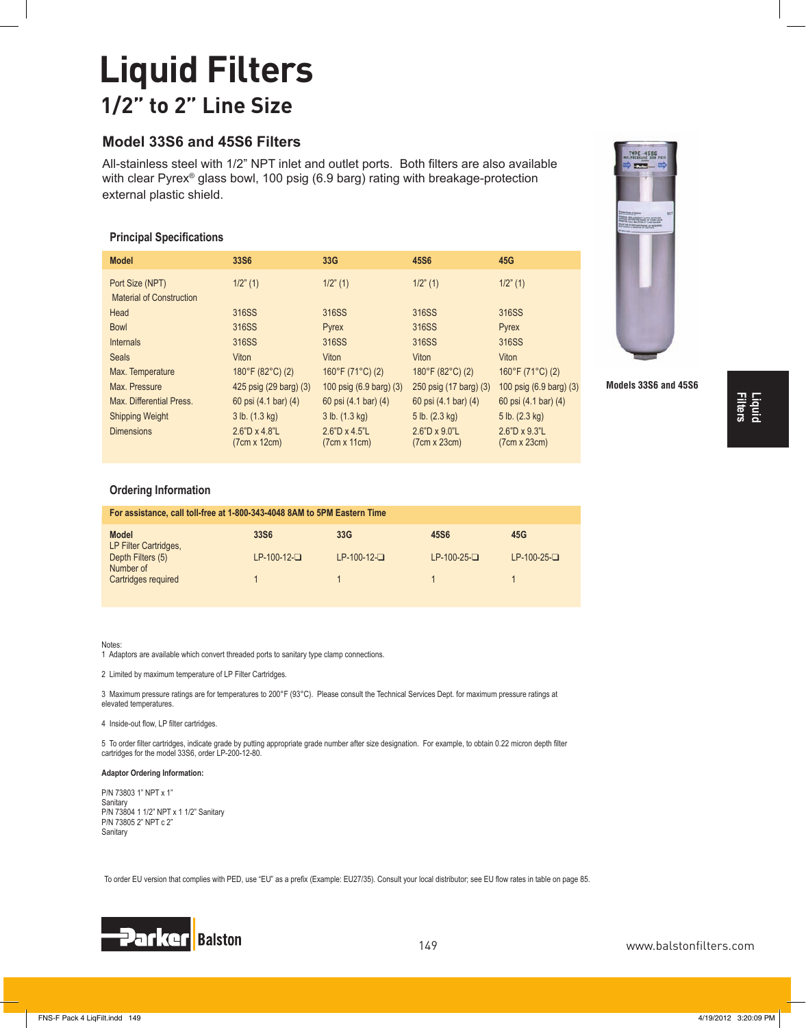## **Liquid Filters 1/2" to 2" Line Size**

## **Model 33S6 and 45S6 Filters**

All-stainless steel with 1/2" NPT inlet and outlet ports. Both filters are also available with clear Pyrex® glass bowl, 100 psig (6.9 barg) rating with breakage-protection external plastic shield.

#### **Principal Specifications**

| <b>Model</b>             | 33S <sub>6</sub>                     | 33G                                  | 45S6                                  | 45G                                  |
|--------------------------|--------------------------------------|--------------------------------------|---------------------------------------|--------------------------------------|
| Port Size (NPT)          | $1/2$ " (1)                          | $1/2$ " (1)                          | $1/2$ " (1)                           | $1/2$ " (1)                          |
| Material of Construction |                                      |                                      |                                       |                                      |
| Head                     | 316SS                                | 316SS                                | 316SS                                 | 316SS                                |
| <b>Bowl</b>              | 316SS                                | <b>Pyrex</b>                         | 316SS                                 | <b>Pyrex</b>                         |
| <b>Internals</b>         | 316SS                                | 316SS                                | 316SS                                 | 316SS                                |
| <b>Seals</b>             | Viton                                | Viton                                | Viton                                 | Viton                                |
| Max. Temperature         | 180°F (82°C) (2)                     | 160°F (71°C) (2)                     | $180^{\circ}$ F (82 $^{\circ}$ C) (2) | 160°F (71°C) (2)                     |
| Max. Pressure            | 425 psig (29 barg) (3)               | 100 $psig(6.9 \text{ barg}(3))$      | 250 psig (17 barg) (3)                | 100 $psig(6.9 \text{ barg}(3))$      |
| Max. Differential Press. | 60 psi (4.1 bar) (4)                 | 60 psi (4.1 bar) (4)                 | 60 psi (4.1 bar) (4)                  | 60 psi (4.1 bar) (4)                 |
| <b>Shipping Weight</b>   | 3 lb. (1.3 kg)                       | 3 lb. (1.3 kg)                       | 5 lb. (2.3 kg)                        | 5 lb. (2.3 kg)                       |
| <b>Dimensions</b>        | $2.6"D \times 4.8"L$<br>(7cm x 12cm) | $2.6"D \times 4.5"L$<br>(7cm x 11cm) | $2.6"D \times 9.0"L$<br>(7cm x 23cm)  | $2.6"D \times 9.3"L$<br>(7cm x 23cm) |



**Models 33S6 and 45S6**

#### **Ordering Information**

| For assistance, call toll-free at 1-800-343-4048 8AM to 5PM Eastern Time |                  |                 |               |               |  |  |
|--------------------------------------------------------------------------|------------------|-----------------|---------------|---------------|--|--|
| <b>Model</b><br>LP Filter Cartridges,                                    | 33S <sub>6</sub> | 33 <sub>G</sub> | 45S6          | 45G           |  |  |
| Depth Filters (5)<br>Number of                                           | $LP-100-12-D$    | $LP-100-12-D$   | $LP-100-25-D$ | $LP-100-25-D$ |  |  |
| Cartridges required                                                      |                  |                 |               |               |  |  |

Notes:

1 Adaptors are available which convert threaded ports to sanitary type clamp connections.

2 Limited by maximum temperature of LP Filter Cartridges.

3 Maximum pressure ratings are for temperatures to 200°F (93°C). Please consult the Technical Services Dept. for maximum pressure ratings at elevated temperatures.

4 Inside-out flow, LP filter cartridges.

5 To order filter cartridges, indicate grade by putting appropriate grade number after size designation. For example, to obtain 0.22 micron depth filter cartridges for the model 33S6, order LP-200-12-80.

#### **Adaptor Ordering Information:**

P/N 73803 1" NPT x 1" **Sanitary** P/N 73804 1 1/2" NPT x 1 1/2" Sanitary P/N 73805 2" NPT c 2" **Sanitary** 

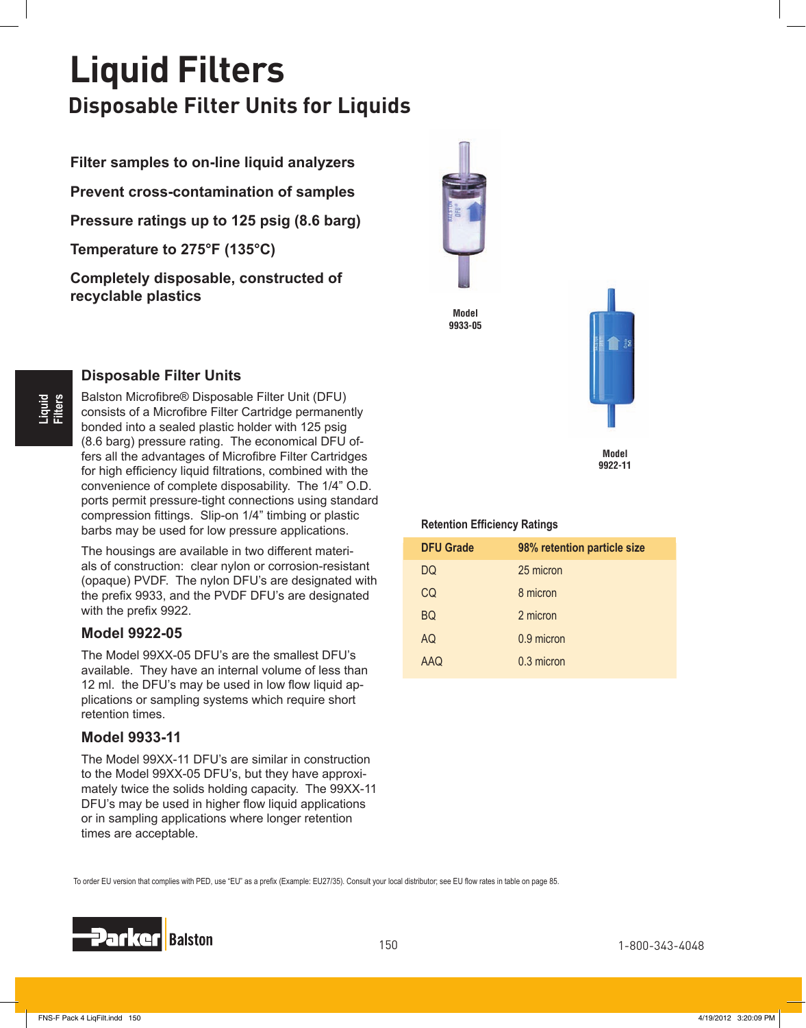## **Liquid Filters Disposable Filter Units for Liquids**

**Filter samples to on-line liquid analyzers Prevent cross-contamination of samples Pressure ratings up to 125 psig (8.6 barg) Temperature to 275°F (135°C) Completely disposable, constructed of recyclable plastics**







**Model 9922-11**

#### **Retention Efficiency Ratings**

| <b>DFU Grade</b> | 98% retention particle size |
|------------------|-----------------------------|
| DQ               | 25 micron                   |
| CQ               | 8 micron                    |
| <b>BQ</b>        | 2 micron                    |
| AQ               | 0.9 micron                  |
| <b>AAQ</b>       | 0.3 micron                  |

## **Liquid Filters**

### **Disposable Filter Units**

Balston Microfibre® Disposable Filter Unit (DFU) consists of a Microfibre Filter Cartridge permanently bonded into a sealed plastic holder with 125 psig (8.6 barg) pressure rating. The economical DFU offers all the advantages of Microfibre Filter Cartridges for high efficiency liquid filtrations, combined with the convenience of complete disposability. The 1/4" O.D. ports permit pressure-tight connections using standard compression fittings. Slip-on 1/4" timbing or plastic barbs may be used for low pressure applications.

The housings are available in two different materials of construction: clear nylon or corrosion-resistant (opaque) PVDF. The nylon DFU's are designated with the prefix 9933, and the PVDF DFU's are designated with the prefix 9922.

### **Model 9922-05**

The Model 99XX-05 DFU's are the smallest DFU's available. They have an internal volume of less than 12 ml. the DFU's may be used in low flow liquid applications or sampling systems which require short retention times.

### **Model 9933-11**

The Model 99XX-11 DFU's are similar in construction to the Model 99XX-05 DFU's, but they have approximately twice the solids holding capacity. The 99XX-11 DFU's may be used in higher flow liquid applications or in sampling applications where longer retention times are acceptable.

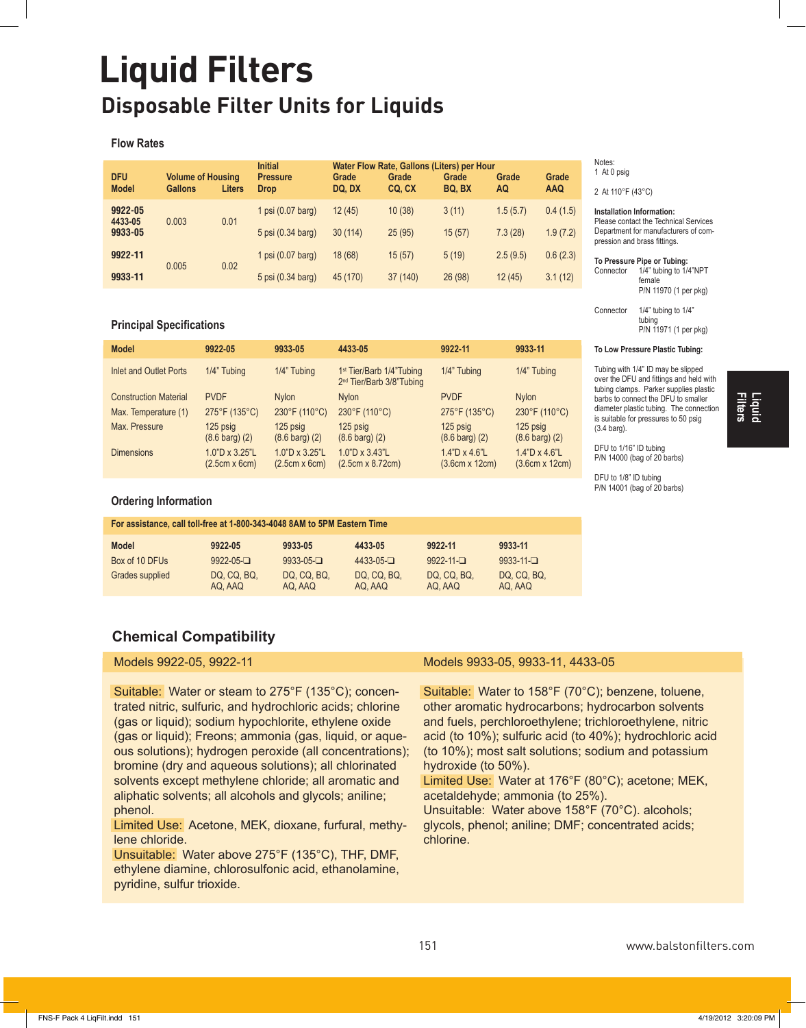## **Liquid Filters Disposable Filter Units for Liquids**

#### **Flow Rates**

| <b>DFU</b><br><b>Model</b> | <b>Volume of Housing</b><br><b>Gallons</b> | <b>Liters</b>     | <b>Initial</b><br><b>Pressure</b><br><b>Drop</b> | Grade<br>DQ, DX | Water Flow Rate, Gallons (Liters) per Hour<br>Grade<br>CQ, CX | Grade<br>BQ, BX | Grade<br>AQ | Grade<br><b>AAQ</b> | N<br>$\mathfrak{D}$ |
|----------------------------|--------------------------------------------|-------------------|--------------------------------------------------|-----------------|---------------------------------------------------------------|-----------------|-------------|---------------------|---------------------|
| 9922-05<br>4433-05         | 0.003                                      | 0.01              | 1 psi $(0.07 \text{ barq})$                      | 12(45)          | 10(38)                                                        | 3(11)           | 1.5(5.7)    | 0.4(1.5)            | In<br>P             |
| 9933-05                    |                                            | 5 psi (0.34 barg) | 30(114)                                          | 25(95)          | 15(57)                                                        | 7.3(28)         | 1.9(7.2)    | D<br>pr             |                     |
| 9922-11                    | 0.005                                      | 0.02              | 1 psi $(0.07 \text{ barq})$                      | 18 (68)         | 15(57)                                                        | 5(19)           | 2.5(9.5)    | 0.6(2.3)            | To                  |
| 9933-11                    |                                            |                   | 5 psi (0.34 barg)                                | 45 (170)        | 37 (140)                                                      | 26 (98)         | 12(45)      | 3.1(12)             | C                   |

#### **Principal Specifications**

| <b>Model</b>                  | 9922-05                                | 9933-05                                | 4433-05                                                                      | 9922-11                                       | 9933-11                                       |
|-------------------------------|----------------------------------------|----------------------------------------|------------------------------------------------------------------------------|-----------------------------------------------|-----------------------------------------------|
| <b>Inlet and Outlet Ports</b> | 1/4" Tubing                            | 1/4" Tubing                            | 1 <sup>st</sup> Tier/Barb 1/4"Tubing<br>2 <sup>nd</sup> Tier/Barb 3/8"Tubing | 1/4" Tubing                                   | 1/4" Tubing                                   |
| <b>Construction Material</b>  | <b>PVDF</b>                            | <b>Nylon</b>                           | <b>Nylon</b>                                                                 | <b>PVDF</b>                                   | <b>Nylon</b>                                  |
| Max. Temperature (1)          | 275°F (135°C)                          | 230°F (110°C)                          | 230°F (110°C)                                                                | 275°F (135°C)                                 | 230°F (110°C)                                 |
| Max. Pressure                 | $125$ psig<br>$(8.6 \text{ barg}) (2)$ | $125$ psig<br>$(8.6 \text{ barg}) (2)$ | 125 psig<br>$(8.6 \text{ barg})$ $(2)$                                       | 125 psig<br>$(8.6 \text{ barg}) (2)$          | 125 psig<br>$(8.6 \text{ barg})$ $(2)$        |
| <b>Dimensions</b>             | 1.0"D x 3.25"L<br>$(2.5cm \times 6cm)$ | 1.0"D x 3.25"L<br>$(2.5cm \times 6cm)$ | $1.0"D \times 3.43"L$<br>$(2.5cm \times 8.72cm)$                             | $1.4"D \times 4.6"L$<br>$(3.6cm \times 12cm)$ | $1.4"D \times 4.6"L$<br>$(3.6cm \times 12cm)$ |

#### **Ordering Information**

| For assistance, call toll-free at 1-800-343-4048 8AM to 5PM Eastern Time |                        |                        |                        |                        |                        |  |
|--------------------------------------------------------------------------|------------------------|------------------------|------------------------|------------------------|------------------------|--|
| <b>Model</b>                                                             | 9922-05                | 9933-05                | 4433-05                | 9922-11                | 9933-11                |  |
| Box of 10 DFUs                                                           | $9922 - 05 - 1$        | $9933 - 05 - 0$        | $4433 - 05 - 1$        | $9922 - 11 -$          | $9933 - 11 - \square$  |  |
| Grades supplied                                                          | DQ, CQ, BQ,<br>AQ, AAQ | DQ, CQ, BQ,<br>AQ. AAQ | DQ. CQ. BQ.<br>AQ. AAQ | DQ. CQ. BQ.<br>AQ. AAQ | DQ, CQ, BQ,<br>AQ. AAQ |  |

### **Chemical Compatibility**

Models 9922-05, 9922-11

Suitable: Water or steam to 275°F (135°C); concentrated nitric, sulfuric, and hydrochloric acids; chlorine (gas or liquid); sodium hypochlorite, ethylene oxide (gas or liquid); Freons; ammonia (gas, liquid, or aqueous solutions); hydrogen peroxide (all concentrations); bromine (dry and aqueous solutions); all chlorinated solvents except methylene chloride; all aromatic and aliphatic solvents; all alcohols and glycols; aniline; phenol.

Limited Use: Acetone, MEK, dioxane, furfural, methylene chloride.

Unsuitable: Water above 275°F (135°C), THF, DMF, ethylene diamine, chlorosulfonic acid, ethanolamine, pyridine, sulfur trioxide.

#### Models 9933-05, 9933-11, 4433-05

Suitable: Water to 158°F (70°C); benzene, toluene, other aromatic hydrocarbons; hydrocarbon solvents and fuels, perchloroethylene; trichloroethylene, nitric acid (to  $10\%$ ); sulfuric acid (to  $40\%$ ); hydrochloric acid (to 10%); most salt solutions; sodium and potassium hydroxide (to  $50\%$ ).

Limited Use: Water at 176°F (80°C); acetone; MEK,  $acetaldehyde$ ; ammonia (to  $25\%$ ).

Unsuitable: Water above 158°F (70°C). alcohols; glycols, phenol; aniline; DMF; concentrated acids; chlorine.

#### Notes: 1 At 0 psig

2 At 110°F (43°C)

**Installation Information:** Please contact the Technical Services Department for manufacturers of compression and brass fittings.

**To Pressure Pipe or Tubing:**

Connector  $1/4$ " tubing to  $1/4$ "NPT female P/N 11970 (1 per pkg)

Connector  $1/4$ " tubing to  $1/4$ " tubing P/N 11971 (1 per pkg)

#### **To Low Pressure Plastic Tubing:**

Tubing with 1/4" ID may be slipped over the DFU and fittings and held with tubing clamps. Parker supplies plastic barbs to connect the DFU to smaller diameter plastic tubing. The connection is suitable for pressures to 50 psig (3.4 barg).

**Filters Liquid**

DFU to 1/16" ID tubing P/N 14000 (bag of 20 barbs)

DFU to 1/8" ID tubing  $P/N$  14001 (bag of 20 barbs)